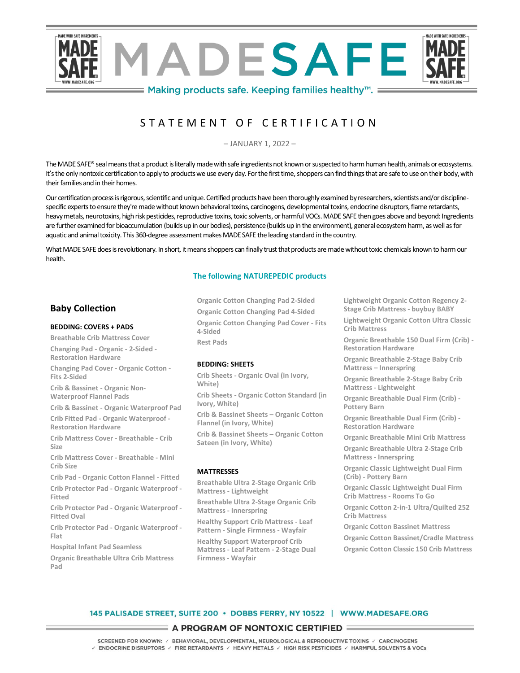

# S T A T E M E N T O F C E R T I F I C A T I O N

– JANUARY 1, 2022 –

The MADE SAFE® seal means that a product is literally made with safe ingredients not known or suspected to harm human health, animals or ecosystems. It's the only nontoxic certification to apply to products we use every day. For the first time, shoppers can find things that are safe to use on their body, with their families and in their homes.

Our certification process is rigorous, scientific and unique. Certified products have been thoroughly examined by researchers, scientists and/or disciplinespecific experts to ensure they're made without known behavioral toxins, carcinogens, developmental toxins, endocrine disruptors, flame retardants, heavy metals, neurotoxins, high risk pesticides, reproductive toxins, toxic solvents, or harmful VOCs. MADE SAFE then goes above and beyond: Ingredients are further examined for bioaccumulation (builds up in our bodies), persistence (builds up in the environment), general ecosystem harm, as well asfor aquatic and animal toxicity. This 360-degree assessment makes MADE SAFE the leading standard in the country.

What MADE SAFE does is revolutionary. In short, it means shoppers can finally trust that products are made without toxic chemicals known to harm our health.

## **The following NATUREPEDIC products**

# **Baby Collection**

#### **BEDDING: COVERS + PADS**

**Breathable Crib Mattress Cover Changing Pad - Organic - 2-Sided -**

**Restoration Hardware Changing Pad Cover - Organic Cotton - Fits 2-Sided**

**Crib & Bassinet - Organic Non-Waterproof Flannel Pads** 

**Crib & Bassinet - Organic Waterproof Pad Crib Fitted Pad - Organic Waterproof - Restoration Hardware**

**Crib Mattress Cover - Breathable - Crib Size**

**Crib Mattress Cover - Breathable - Mini Crib Size**

**Crib Pad - Organic Cotton Flannel - Fitted Crib Protector Pad - Organic Waterproof -**

**Fitted**

**Crib Protector Pad - Organic Waterproof - Fitted Oval**

**Crib Protector Pad - Organic Waterproof - Flat**

**Hospital Infant Pad Seamless**

**Organic Breathable Ultra Crib Mattress Pad**

**Organic Cotton Changing Pad 2-Sided Organic Cotton Changing Pad 4-Sided Organic Cotton Changing Pad Cover - Fits 4-Sided Rest Pads**

## **BEDDING: SHEETS**

**Crib Sheets - Organic Oval (in Ivory, White)**

**Crib Sheets - Organic Cotton Standard (in Ivory, White)**

**Crib & Bassinet Sheets – Organic Cotton Flannel (in Ivory, White)**

**Crib & Bassinet Sheets – Organic Cotton Sateen (in Ivory, White)**

## **MATTRESSES**

**Breathable Ultra 2-Stage Organic Crib Mattress - Lightweight**

**Breathable Ultra 2-Stage Organic Crib Mattress - Innerspring**

**Healthy Support Crib Mattress - Leaf Pattern - Single Firmness - Wayfair**

**Healthy Support Waterproof Crib Mattress - Leaf Pattern - 2-Stage Dual Firmness - Wayfair**

**Lightweight Organic Cotton Regency 2- Stage Crib Mattress - buybuy BABY**

**Lightweight Organic Cotton Ultra Classic Crib Mattress**

**Organic Breathable 150 Dual Firm (Crib) - Restoration Hardware**

**Organic Breathable 2-Stage Baby Crib Mattress – Innerspring**

**Organic Breathable 2-Stage Baby Crib Mattress - Lightweight**

**Organic Breathable Dual Firm (Crib) - Pottery Barn**

**Organic Breathable Dual Firm (Crib) - Restoration Hardware**

**Organic Breathable Mini Crib Mattress**

**Organic Breathable Ultra 2-Stage Crib Mattress - Innerspring**

**Organic Classic Lightweight Dual Firm (Crib) - Pottery Barn**

**Organic Classic Lightweight Dual Firm Crib Mattress - Rooms To Go**

**Organic Cotton 2-in-1 Ultra/Quilted 252 Crib Mattress**

**Organic Cotton Bassinet Mattress Organic Cotton Bassinet/Cradle Mattress Organic Cotton Classic 150 Crib Mattress**

# 145 PALISADE STREET, SUITE 200 · DOBBS FERRY, NY 10522 | WWW.MADESAFE.ORG

# A PROGRAM OF NONTOXIC CERTIFIED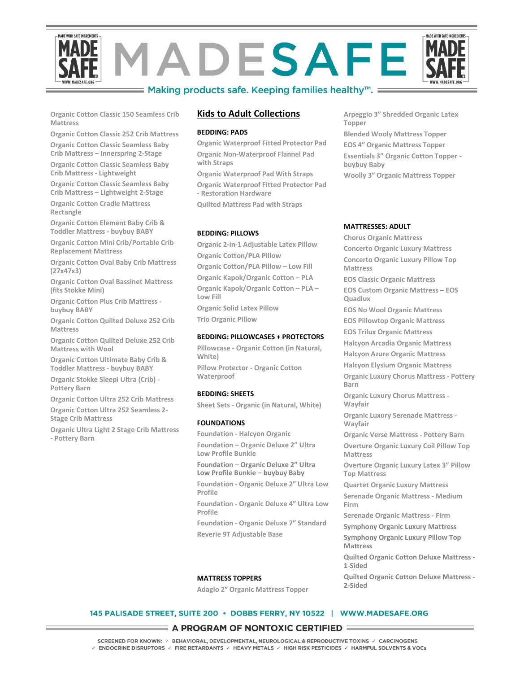

 $\equiv$  Making products safe. Keeping families healthy $\mathrm{m}$ .  $\equiv$ 

**Organic Cotton Classic 150 Seamless Crib Mattress**

**Organic Cotton Classic 252 Crib Mattress Organic Cotton Classic Seamless Baby** 

**Crib Mattress – Innerspring 2-Stage**

**Organic Cotton Classic Seamless Baby Crib Mattress - Lightweight**

**Organic Cotton Classic Seamless Baby Crib Mattress – Lightweight 2-Stage**

**Organic Cotton Cradle Mattress Rectangle**

**Organic Cotton Element Baby Crib & Toddler Mattress - buybuy BABY**

**Organic Cotton Mini Crib/Portable Crib Replacement Mattress**

**Organic Cotton Oval Baby Crib Mattress (27x47x3)**

**Organic Cotton Oval Bassinet Mattress (fits Stokke Mini)**

**Organic Cotton Plus Crib Mattress buybuy BABY**

**Organic Cotton Quilted Deluxe 252 Crib Mattress**

**Organic Cotton Quilted Deluxe 252 Crib Mattress with Wool**

**Organic Cotton Ultimate Baby Crib & Toddler Mattress - buybuy BABY**

**Organic Stokke Sleepi Ultra (Crib) - Pottery Barn**

**Organic Cotton Ultra 252 Crib Mattress**

**Organic Cotton Ultra 252 Seamless 2-**

**Stage Crib Mattress**

**Organic Ultra Light 2 Stage Crib Mattress - Pottery Barn**

# **Kids to Adult Collections**

#### **BEDDING: PADS**

**Organic Waterproof Fitted Protector Pad Organic Non-Waterproof Flannel Pad with Straps**

**Organic Waterproof Pad With Straps Organic Waterproof Fitted Protector Pad - Restoration Hardware**

**Quilted Mattress Pad with Straps**

#### **BEDDING: PILLOWS**

**Organic 2-in-1 Adjustable Latex Pillow Organic Cotton/PLA Pillow Organic Cotton/PLA Pillow – Low Fill Organic Kapok/Organic Cotton – PLA Organic Kapok/Organic Cotton – PLA – Low Fill Organic Solid Latex Pillow Trio Organic PIllow**

#### **BEDDING: PILLOWCASES + PROTECTORS**

**Pillowcase - Organic Cotton (in Natural, White) Pillow Protector - Organic Cotton Waterproof**

#### **BEDDING: SHEETS**

**Sheet Sets - Organic (in Natural, White)**

#### **FOUNDATIONS**

**Foundation - Halcyon Organic Foundation – Organic Deluxe 2" Ultra Low Profile Bunkie Foundation – Organic Deluxe 2" Ultra Low Profile Bunkie – buybuy Baby Foundation - Organic Deluxe 2″ Ultra Low Profile Foundation - Organic Deluxe 4″ Ultra Low Profile Foundation - Organic Deluxe 7″ Standard Reverie 9T Adjustable Base**

**Arpeggio 3" Shredded Organic Latex Topper Blended Wooly Mattress Topper EOS 4″ Organic Mattress Topper Essentials 3" Organic Cotton Topper buybuy Baby Woolly 3″ Organic Mattress Topper**

#### **MATTRESSES: ADULT**

**Chorus Organic Mattress Concerto Organic Luxury Mattress Concerto Organic Luxury Pillow Top Mattress EOS Classic Organic Mattress EOS Custom Organic Mattress – EOS Quadlux EOS No Wool Organic Mattress EOS Pillowtop Organic Mattress EOS Trilux Organic Mattress Halcyon Arcadia Organic Mattress Halcyon Azure Organic Mattress Halcyon Elysium Organic Mattress Organic Luxury Chorus Mattress - Pottery Barn Organic Luxury Chorus Mattress - Wayfair Organic Luxury Serenade Mattress - Wayfair Organic Verse Mattress - Pottery Barn Overture Organic Luxury Coil Pillow Top Mattress Overture Organic Luxury Latex 3" Pillow Top Mattress Quartet Organic Luxury Mattress Serenade Organic Mattress - Medium Firm Serenade Organic Mattress - Firm Symphony Organic Luxury Mattress Symphony Organic Luxury Pillow Top Mattress Quilted Organic Cotton Deluxe Mattress - 1-Sided Quilted Organic Cotton Deluxe Mattress - 2-Sided**

# **MATTRESS TOPPERS**

**Adagio 2″ Organic Mattress Topper**

#### 145 PALISADE STREET, SUITE 200 · DOBBS FERRY, NY 10522 | WWW.MADESAFE.ORG

#### A PROGRAM OF NONTOXIC CERTIFIED

SCREENED FOR KNOWN: / BEHAVIORAL, DEVELOPMENTAL, NEUROLOGICAL & REPRODUCTIVE TOXINS / CARCINOGENS  $\vee$  ENDOCRINE DISRUPTORS  $\vee$  FIRE RETARDANTS  $\vee$  HEAVY METALS  $\vee$  HIGH RISK PESTICIDES  $\vee$  HARMFUL SOLVENTS & VOCs